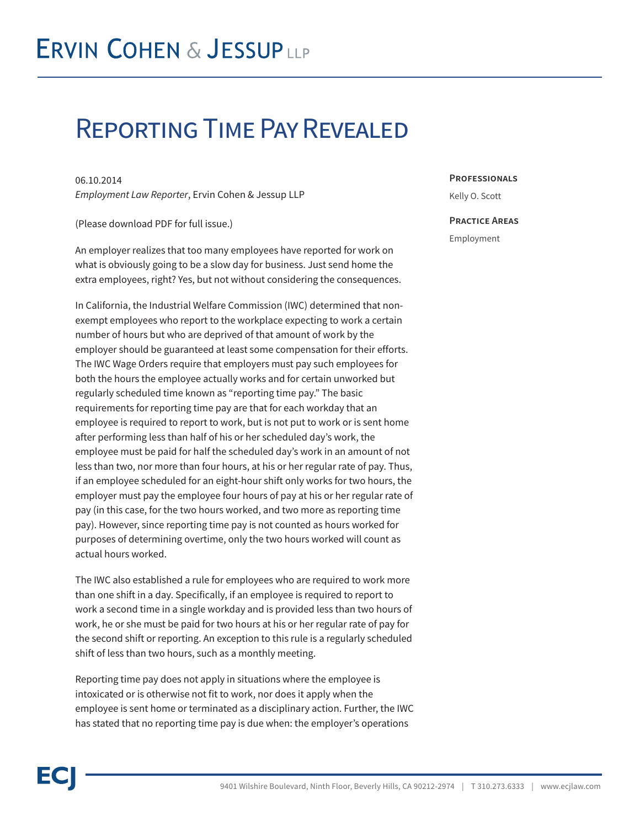## Reporting Time Pay Revealed

06.10.2014 *Employment Law Reporter*, Ervin Cohen & Jessup LLP

(Please download PDF for full issue.)

An employer realizes that too many employees have reported for work on what is obviously going to be a slow day for business. Just send home the extra employees, right? Yes, but not without considering the consequences.

In California, the Industrial Welfare Commission (IWC) determined that nonexempt employees who report to the workplace expecting to work a certain number of hours but who are deprived of that amount of work by the employer should be guaranteed at least some compensation for their efforts. The IWC Wage Orders require that employers must pay such employees for both the hours the employee actually works and for certain unworked but regularly scheduled time known as "reporting time pay." The basic requirements for reporting time pay are that for each workday that an employee is required to report to work, but is not put to work or is sent home after performing less than half of his or her scheduled day's work, the employee must be paid for half the scheduled day's work in an amount of not less than two, nor more than four hours, at his or her regular rate of pay. Thus, if an employee scheduled for an eight-hour shift only works for two hours, the employer must pay the employee four hours of pay at his or her regular rate of pay (in this case, for the two hours worked, and two more as reporting time pay). However, since reporting time pay is not counted as hours worked for purposes of determining overtime, only the two hours worked will count as actual hours worked.

The IWC also established a rule for employees who are required to work more than one shift in a day. Specifically, if an employee is required to report to work a second time in a single workday and is provided less than two hours of work, he or she must be paid for two hours at his or her regular rate of pay for the second shift or reporting. An exception to this rule is a regularly scheduled shift of less than two hours, such as a monthly meeting.

Reporting time pay does not apply in situations where the employee is intoxicated or is otherwise not fit to work, nor does it apply when the employee is sent home or terminated as a disciplinary action. Further, the IWC has stated that no reporting time pay is due when: the employer's operations

**Professionals**

Kelly O. Scott

## **Practice Areas**

Employment